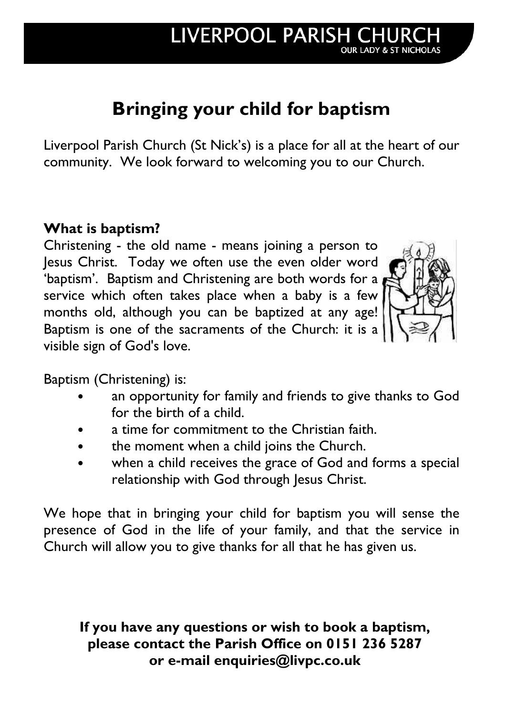# **Bringing your child for baptism**

Liverpool Parish Church (St Nick's) is a place for all at the heart of our community. We look forward to welcoming you to our Church.

#### **What is baptism?**

Christening - the old name - means joining a person to Jesus Christ. Today we often use the even older word 'baptism'. Baptism and Christening are both words for a service which often takes place when a baby is a few months old, although you can be baptized at any age! Baptism is one of the sacraments of the Church: it is a visible sign of God's love.



Baptism (Christening) is:

- an opportunity for family and friends to give thanks to God for the birth of a child.
- a time for commitment to the Christian faith.
- the moment when a child joins the Church.
- when a child receives the grace of God and forms a special relationship with God through Jesus Christ.

We hope that in bringing your child for baptism you will sense the presence of God in the life of your family, and that the service in Church will allow you to give thanks for all that he has given us.

**If you have any questions or wish to book a baptism, please contact the Parish Office on 0151 236 5287 or e-mail enquiries@livpc.co.uk**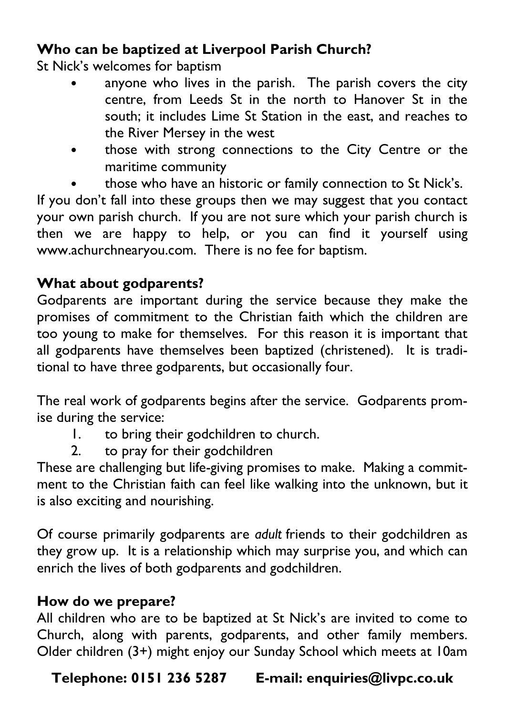### **Who can be baptized at Liverpool Parish Church?**

St Nick's welcomes for baptism

- anyone who lives in the parish. The parish covers the city centre, from Leeds St in the north to Hanover St in the south; it includes Lime St Station in the east, and reaches to the River Mersey in the west
- those with strong connections to the City Centre or the maritime community
- those who have an historic or family connection to St Nick's.

If you don't fall into these groups then we may suggest that you contact your own parish church. If you are not sure which your parish church is then we are happy to help, or you can find it yourself using www.achurchnearyou.com. There is no fee for baptism.

#### **What about godparents?**

Godparents are important during the service because they make the promises of commitment to the Christian faith which the children are too young to make for themselves. For this reason it is important that all godparents have themselves been baptized (christened). It is traditional to have three godparents, but occasionally four.

The real work of godparents begins after the service. Godparents promise during the service:

- 1. to bring their godchildren to church.
- 2. to pray for their godchildren

These are challenging but life-giving promises to make. Making a commitment to the Christian faith can feel like walking into the unknown, but it is also exciting and nourishing.

Of course primarily godparents are *adult* friends to their godchildren as they grow up. It is a relationship which may surprise you, and which can enrich the lives of both godparents and godchildren.

#### **How do we prepare?**

All children who are to be baptized at St Nick's are invited to come to Church, along with parents, godparents, and other family members. Older children (3+) might enjoy our Sunday School which meets at 10am

#### **Telephone: 0151 236 5287 E-mail: enquiries@livpc.co.uk**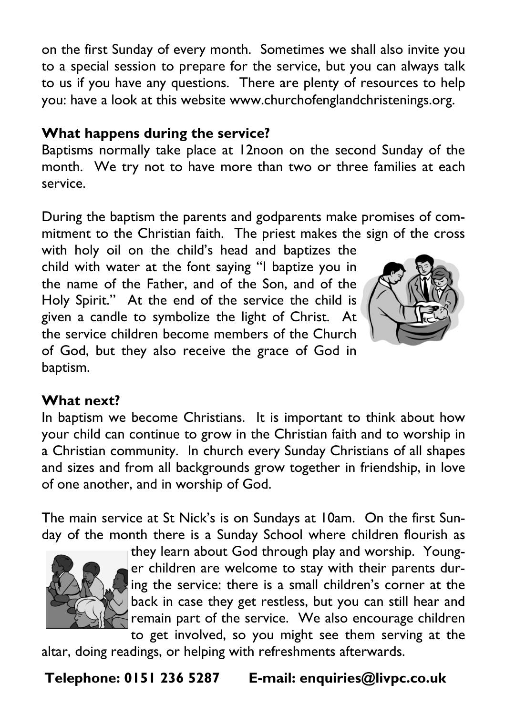on the first Sunday of every month. Sometimes we shall also invite you to a special session to prepare for the service, but you can always talk to us if you have any questions. There are plenty of resources to help you: have a look at this website www.churchofenglandchristenings.org.

#### **What happens during the service?**

Baptisms normally take place at 12noon on the second Sunday of the month. We try not to have more than two or three families at each service.

During the baptism the parents and godparents make promises of commitment to the Christian faith. The priest makes the sign of the cross

with holy oil on the child's head and baptizes the child with water at the font saying "I baptize you in the name of the Father, and of the Son, and of the Holy Spirit." At the end of the service the child is given a candle to symbolize the light of Christ. At the service children become members of the Church of God, but they also receive the grace of God in baptism.



#### **What next?**

In baptism we become Christians. It is important to think about how your child can continue to grow in the Christian faith and to worship in a Christian community. In church every Sunday Christians of all shapes and sizes and from all backgrounds grow together in friendship, in love of one another, and in worship of God.

The main service at St Nick's is on Sundays at 10am. On the first Sunday of the month there is a Sunday School where children flourish as



they learn about God through play and worship. Younger children are welcome to stay with their parents during the service: there is a small children's corner at the back in case they get restless, but you can still hear and remain part of the service. We also encourage children to get involved, so you might see them serving at the

altar, doing readings, or helping with refreshments afterwards.

**Telephone: 0151 236 5287 E-mail: enquiries@livpc.co.uk**